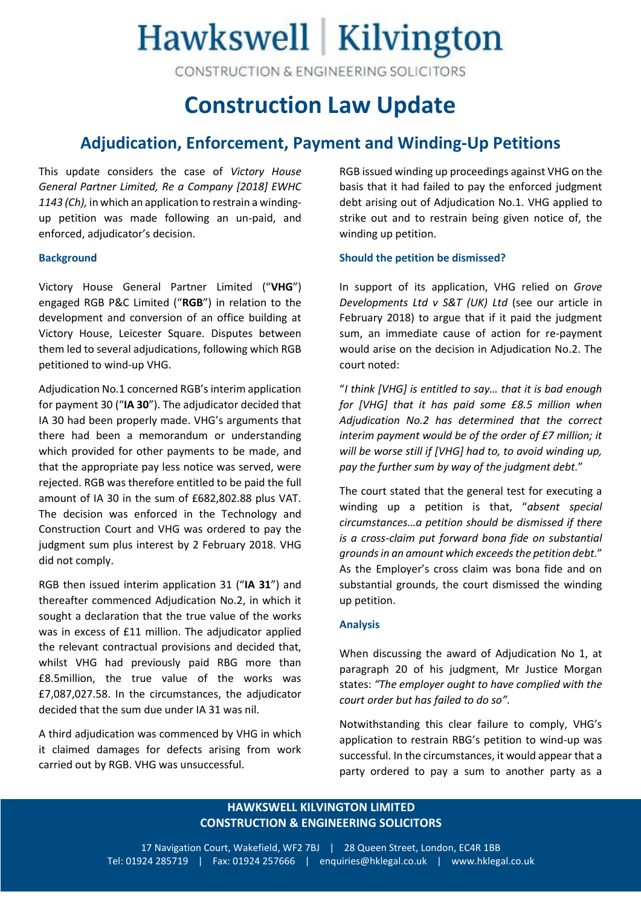# Hawkswell Kilvington

CONSTRUCTION & ENGINEERING SOLICITORS

## **Construction Law Update**

### **Adjudication, Enforcement, Payment and Winding-Up Petitions**

This update considers the case of *Victory House General Partner Limited, Re a Company [2018] EWHC 1143 (Ch),* in which an application to restrain a windingup petition was made following an un-paid, and enforced, adjudicator's decision.

#### **Background**

Victory House General Partner Limited ("**VHG**") engaged RGB P&C Limited ("**RGB**") in relation to the development and conversion of an office building at Victory House, Leicester Square. Disputes between them led to several adjudications, following which RGB petitioned to wind-up VHG.

Adjudication No.1 concerned RGB's interim application for payment 30 ("**IA 30**"). The adjudicator decided that IA 30 had been properly made. VHG's arguments that there had been a memorandum or understanding which provided for other payments to be made, and that the appropriate pay less notice was served, were rejected. RGB was therefore entitled to be paid the full amount of IA 30 in the sum of £682,802.88 plus VAT. The decision was enforced in the Technology and Construction Court and VHG was ordered to pay the judgment sum plus interest by 2 February 2018. VHG did not comply.

RGB then issued interim application 31 ("**IA 31**") and thereafter commenced Adjudication No.2, in which it sought a declaration that the true value of the works was in excess of £11 million. The adjudicator applied the relevant contractual provisions and decided that, whilst VHG had previously paid RBG more than £8.5million, the true value of the works was £7,087,027.58. In the circumstances, the adjudicator decided that the sum due under IA 31 was nil.

A third adjudication was commenced by VHG in which it claimed damages for defects arising from work carried out by RGB. VHG was unsuccessful.

RGB issued winding up proceedings against VHG on the basis that it had failed to pay the enforced judgment debt arising out of Adjudication No.1. VHG applied to strike out and to restrain being given notice of, the winding up petition.

#### **Should the petition be dismissed?**

In support of its application, VHG relied on *Grove Developments Ltd v S&T (UK) Ltd* (see our article in February 2018) to argue that if it paid the judgment sum, an immediate cause of action for re-payment would arise on the decision in Adjudication No.2. The court noted:

"*I think [VHG] is entitled to say… that it is bad enough for [VHG] that it has paid some £8.5 million when Adjudication No.2 has determined that the correct interim payment would be of the order of £7 million; it will be worse still if [VHG] had to, to avoid winding up, pay the further sum by way of the judgment debt.*"

The court stated that the general test for executing a winding up a petition is that, "*absent special circumstances…a petition should be dismissed if there is a cross-claim put forward bona fide on substantial grounds in an amount which exceeds the petition debt.*" As the Employer's cross claim was bona fide and on substantial grounds, the court dismissed the winding up petition.

#### **Analysis**

When discussing the award of Adjudication No 1, at paragraph 20 of his judgment, Mr Justice Morgan states: *"The employer ought to have complied with the court order but has failed to do so".* 

Notwithstanding this clear failure to comply, VHG's application to restrain RBG's petition to wind-up was successful. In the circumstances, it would appear that a party ordered to pay a sum to another party as a

#### **HAWKSWELL KILVINGTON LIMITED CONSTRUCTION & ENGINEERING SOLICITORS**